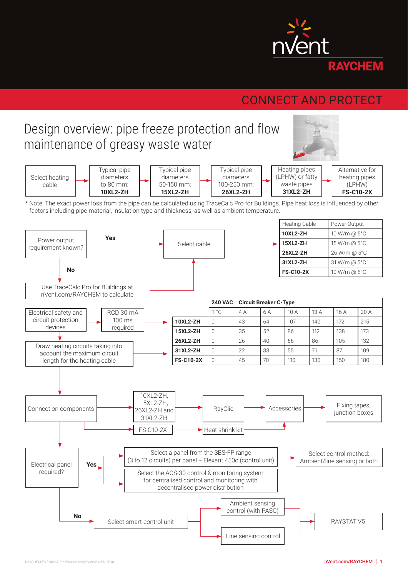

# CONNECT AND PROTECT